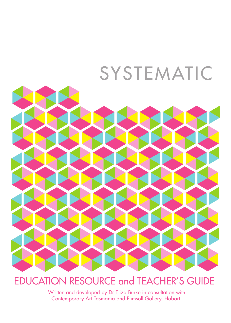# SYSTEMATIC



# EDUCATION RESOURCE and TEACHER'S GUIDE

Written and developed by Dr Eliza Burke in consultation with Contemporary Art Tasmania and Plimsoll Gallery, Hobart.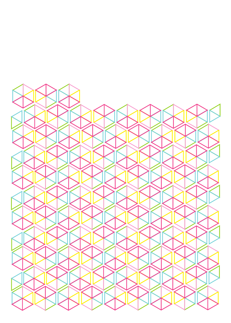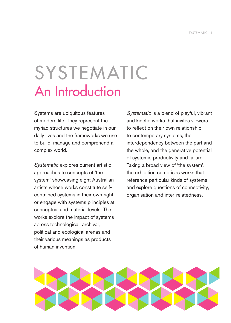# SYSTEMATIC An Introduction

Systems are ubiquitous features of modern life. They represent the myriad structures we negotiate in our daily lives and the frameworks we use to build, manage and comprehend a complex world.

*Systematic* explores current artistic approaches to concepts of 'the system' showcasing eight Australian artists whose works constitute selfcontained systems in their own right, or engage with systems principles at conceptual and material levels. The works explore the impact of systems across technological, archival, political and ecological arenas and their various meanings as products of human invention.

*Systematic* is a blend of playful, vibrant and kinetic works that invites viewers to reflect on their own relationship to contemporary systems, the interdependency between the part and the whole, and the generative potential of systemic productivity and failure. Taking a broad view of 'the system', the exhibition comprises works that reference particular kinds of systems and explore questions of connectivity, organisation and inter-relatedness.

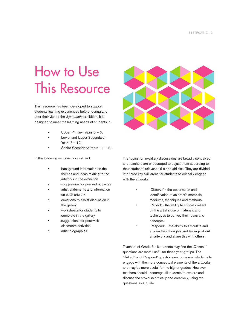# How to Use This Resource

This resource has been developed to support students learning experiences before, during and after their visit to the *Systematic* exhibition. It is designed to meet the learning needs of students in:

- Upper Primary: Years  $5 6$ ;
- Lower and Upper Secondary: Years 7 – 10;
- Senior Secondary: Years  $11 12$ .

In the following sections, you will find:

- background information on the themes and ideas relating to the artworks in the exhibition
- suggestions for pre-visit activities
- artist statements and information on each artwork
- questions to assist discussion in the gallery
- worksheets for students to complete in the gallery
- suggestions for post-visit classroom activities
- artist biographies



The topics for in-gallery discussions are broadly conceived, and teachers are encouraged to adjust them according to their students' relevant skills and abilities. They are divided into three key skill areas for students to critically engage with the artworks:

- 'Observe' the observation and identification of an artist's materials, mediums, techniques and methods.
- 'Reflect' the ability to critically reflect on the artist's use of materials and techniques to convey their ideas and concepts.
- 'Respond' the ability to articulate and explain their thoughts and feelings about an artwork and share this with others.

Teachers of Grade 5 - 6 students may find the 'Observe' questions are most useful for these year groups. The 'Reflect' and 'Respond' questions encourage all students to engage with the more conceptual elements of the artworks, and may be more useful for the higher grades. However, teachers should encourage all students to explore and discuss the artworks critically and creatively, using the questions as a guide.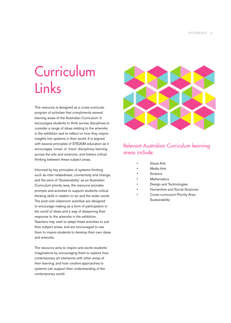# **Curriculum** Links

This resource is designed as a cross-curricular program of activities that compliments several learning areas of the Australian Curriculum. It encourages students to think across disciplines to consider a range of ideas relating to the artworks in the exhibition and to reflect on how they inspire insights into systems in their world. It is aligned with several principles of STE(A)M education as it encourages 'cross' or 'trans' disciplinary learning across the arts and sciences, and fosters critical thinking between these subject areas.

Informed by key principles of systems thinking such as inter-relatedness, connectivity and change, and the aims of 'Sustainability' as an Australian Curriculum priority area, the resource provides prompts and activities to support students critical thinking skills in relation to art and the wider world. The post-visit classroom activities are designed to encourage making as a form of participation in the world of ideas and a way of deepening their response to the artworks in the exhibition. Teachers may wish to adapt these activities to suit their subject areas, and are encouraged to use them to inspire students to develop their own ideas and artworks.

The resource aims to inspire and excite students' imaginations by encouraging them to explore how contemporary art intersects with other areas of their learning, and how creative approaches to systems can support their understanding of the contemporary world.



### Relevant Australian Curriculum learning areas include:

- **Visual Arts** 
	- Media Arts
- • Science
	- **Mathematics**
	- Design and Technologies
	- **Humanities and Social Sciences**
	- Cross-curriculum Priority Area: **Sustainability**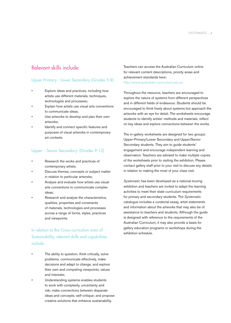#### Relevant skills include:

#### Upper Primary - Lower Secondary (Grades 5-8)

- Explore ideas and practices, including how artists use different materials, techniques, technologies and processes;
- Explain how artists use visual arts conventions to communicate ideas;
- Use artworks to develop and plan their own artworks;
- Identify and connect specific features and purposes of visual artworks in contemporary art contexts.

#### Upper – Senior Secondary: (Grades 9-12)

- Research the works and practices of contemporary artists;
- Discuss themes, concepts or subject matter in relation to particular artworks;
- Analyse and evaluate how artists use visual arts conventions to communicate complex ideas;
- Research and analyse the characteristics, qualities, properties and constraints of materials, technologies and processes across a range of forms, styles, practices and viewpoints.

#### In relation to the Cross-curriculum area of Sustainability, relevant skills and capabilities include:

- The ability to question, think critically, solve problems, communicate effectively, make decisions and adapt to change, and explore their own and competing viewpoints, values and interests;
- Understanding systems enables students to work with complexity, uncertainty and risk; make connections between disparate ideas and concepts; self-critique; and propose creative solutions that enhance sustainability.

Teachers can access the Australian Curriculum online for relevant content descriptions, priority areas and achievement standards here: http://www.australian-curriculum.edu.au

Throughout the resource, teachers are encouraged to explore the nature of systems from different perspectives and in different fields of endeavour. Students should be encouraged to think freely about systems but approach the artworks with an eye for detail. The worksheets encourage students to identify artists' methods and materials, reflect on key ideas and explore connections between the works.

The in-gallery worksheets are designed for two groups: Upper-Primary/Lower Secondary and Upper/Senior Secondary students. They aim to guide students' engagement and encourage independent learning and observation. Teachers are advised to make multiple copies of the worksheets prior to visiting the exhibition. Please contact gallery staff prior to your visit to discuss any details in relation to making the most of your class visit.

*Systematic* has been developed as a national touring exhibition and teachers are invited to adapt the learning activities to meet their state curriculum requirements for primary and secondary students. The *Systematic* catalogue includes a curatorial essay, artist statements and information about the artworks that may also be of assistance to teachers and students. Although the guide is designed with reference to the requirements of the Australian Curriculum, it may also provide a basis for gallery education programs or workshops during the exhibition schedule.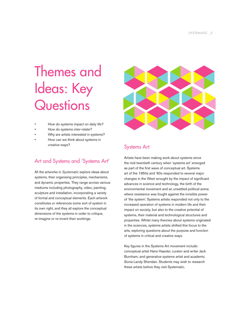# Themes and Ideas: Key **Questions**

- How do systems impact on daily life?
- How do systems inter-relate?
- Why are artists interested in systems?
- How can we think about systems in creative ways?

### Art and Systems and 'Systems Art'

All the artworks in *Systematic* explore ideas about systems, their organising principles, mechanisms, and dynamic properties. They range across various mediums including photography, video, painting, sculpture and installation, incorporating a variety of formal and conceptual elements. Each artwork constitutes or references some sort of system in its own right, and they all explore the conceptual dimensions of the systems in order to critique, re-imagine or re-invent their workings.



### Systems Art

Artists have been making work about systems since the mid-twentieth century when 'systems art' emerged as part of the first wave of conceptual art. Systems art of the 1950s and '60s responded to several major changes in the West wrought by the impact of significant advances in science and technology, the birth of the environmental movement and an unsettled political arena where resistance was fought against the invisible power of 'the system'. Systems artists responded not only to the increased operation of systems in modern life and their impact on society, but also to the creative potential of systems, their material and technological structures and properties. Whilst many theories about systems originated in the sciences, systems artists shifted this focus to the arts, exploring questions about the purpose and function of systems in critical and creative ways.

Key figures in the Systems Art movement include: conceptual artist Hans Haacke; curator and writer Jack Burnham; and generative systems artist and academic Sonia Landy Sheridan. Students may wish to research these artists before they visit Systematic.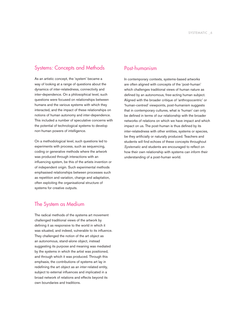#### Systems: Concepts and Methods

As an artistic concept, the 'system' became a way of looking at a range of questions about the dynamics of inter-relatedness, connectivity and inter-dependence. On a philosophical level, such questions were focused on relationships between humans and the various systems with which they interacted, and the impact of these relationships on notions of human autonomy and inter-dependence. This included a number of speculative concerns with the potential of technological systems to develop non-human powers of intelligence.

On a methodological level, such questions led to experiments with process, such as sequencing, coding or generative methods where the artwork was produced through interactions with an influencing system, be this of the artists invention or of independent origin. Such experimental methods emphasised relationships between processes such as repetition and variation, change and adaptation, often exploiting the organisational structure of systems for creative outputs.

#### The System as Medium

The radical methods of the systems art movement challenged traditional views of the artwork by defining it as responsive to the world in which it was situated, and indeed, vulnerable to its influence. They challenged the notion of the art object as an autonomous, stand-alone object, instead suggesting its purpose and meaning was mediated by the systems in which the artist was positioned, and through which it was produced. Through this emphasis, the contributions of systems art lay in redefining the art object as an inter-related entity, subject to external influences and implicated in a broad network of relations and effects beyond its own boundaries and traditions.

#### Post-humanism

In contemporary contexts, systems-based artworks are often aligned with concepts of the 'post-human' which challenges traditional views of human nature as defined by an autonomous, free-acting human subject. Aligned with the broader critique of 'anthropocentric' or 'human-centred' viewpoints, post-humanism suggests that in contemporary cultures, what is 'human' can only be defined in terms of our relationship with the broader networks of relations on which we have impact and which impact on us. The post-human is thus defined by its inter-relatedness with other entities, systems or species, be they artificially or naturally produced. Teachers and students will find echoes of these concepts throughout *Systematic* and students are encouraged to reflect on how their own relationship with systems can inform their understanding of a post-human world.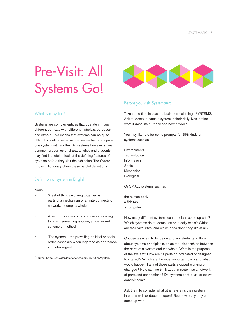# Pre-Visit: All Systems Go!

#### What is a System?

Systems are complex entities that operate in many different contexts with different materials, purposes and effects. This means that systems can be quite difficult to define, especially when we try to compare one system with another. All systems however share common properties or characteristics and students may find it useful to look at the defining features of systems before they visit the exhibition. The Oxford English Dictionary offers these helpful definitions:

#### Definition of system in English:

Noun:

- 'A set of things working together as parts of a mechanism or an interconnecting network; a complex whole.
- A set of principles or procedures according to which something is done; an organized scheme or method.
- 'The system' the prevailing political or social order, especially when regarded as oppressive and intransigent.'

(Source: https://en.oxforddictionaries.com/definition/system)



#### Before you visit *Systematic*:

Take some time in class to brainstorm all things SYSTEMS. Ask students to name a system in their daily lives, define what it does, its purpose and how it works.

You may like to offer some prompts for BIG kinds of systems such as

Environmental **Technological** Information Social Mechanical Biological

Or SMALL systems such as

the human body a fish tank a computer

How many different systems can the class come up with? Which systems do students use on a daily basis? Which are their favourites, and which ones don't they like at all?

Choose a system to focus on and ask students to think about systems principles such as the relationships between the parts of a system and the whole: What is the purpose of the system? How are its parts co-ordinated or designed to interact? Which are the most important parts and what would happen if any of those parts stopped working or changed? How can we think about a system as a network of parts and connections? Do systems control us, or do we control them?

Ask them to consider what other systems their system interacts with or depends upon? See how many they can come up with!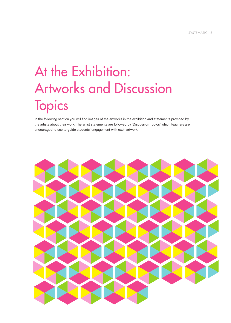# At the Exhibition: Artworks and Discussion **Topics**

In the following section you will find images of the artworks in the exhibition and statements provided by the artists about their work. The artist statements are followed by 'Discussion Topics' which teachers are encouraged to use to guide students' engagement with each artwork.

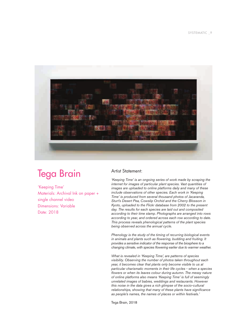

# Tega Brain

'Keeping Time'

Materials: Archival Ink on paper + single channel video Dimensions: Variable Date: 2018

#### Artist Statement:

*'Keeping Time' is an ongoing series of work made by scraping the internet for images of particular plant species. Vast quantities of images are uploaded to online platforms daily and many of these include observations of other species. Each work in 'Keeping Time' is produced from several thousand photos of Jacaranda, Sturt's Desert Pea, Cowslip Orchid and the Cherry Blossom in Kyoto, uploaded to the Flickr database from 2002 to the present day. The results for each species are laid out and composited according to their time stamp. Photographs are arranged into rows according to year, and ordered across each row according to date. This process reveals phenological patterns of the plant species being observed across the annual cycle.* 

*Phenology is the study of the timing of recurring biological events in animals and plants such as flowering, budding and fruiting. It provides a sensitive indicator of the response of the biosphere to a changing climate, with species flowering earlier due to warmer weather.* 

*What is revealed in 'Keeping Time', are patterns of species visibility. Observing the number of photos taken throughout each year, it becomes clear that plants only become visible to us at particular charismatic moments in their life cycles - when a species flowers or when its leaves colour during autumn. The messy nature of online platforms also means 'Keeping Time' is full of seemingly unrelated images of babies, weddings and restaurants. However this noise in the data gives a rich glimpse of the socio-cultural relationships, showing that many of these plants have significance as people's names, the names of places or within festivals.'* 

Tega Brain, 2018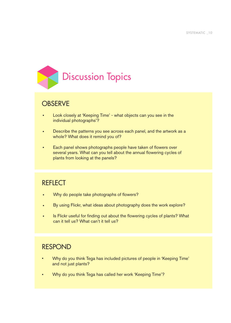

### **OBSERVE**

- Look closely at 'Keeping Time' what objects can you see in the individual photographs'? •
- Describe the patterns you see across each panel, and the artwork as a whole? What does it remind you of? •
- Each panel shows photographs people have taken of flowers over several years. What can you tell about the annual flowering cycles of plants from looking at the panels? •

# **REFLECT**

- Why do people take photographs of flowers? •
- By using Flickr, what ideas about photography does the work explore? •
- Is Flickr useful for finding out about the flowering cycles of plants? What can it tell us? What can't it tell us? •

### RESPOND

- Why do you think Tega has included pictures of people in 'Keeping Time' and not just plants? •
- Why do you think Tega has called her work 'Keeping Time'? •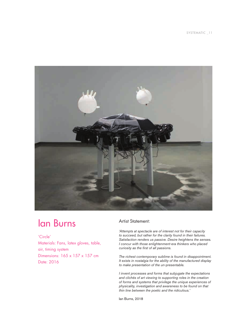SYSTEMATIC \_11



# Ian Burns

'Circle'

Materials: Fans, latex gloves, table, air, timing system Dimensions: 165 x 157 x 157 cm Date: 2016

#### Artist Statement:

*'Attempts at spectacle are of interest not for their capacity to succeed, but rather for the clarity found in their failures. Satisfaction renders us passive. Desire heightens the senses. I concur with those enlightenment-era thinkers who placed curiosity as the first of all passions.* 

*The richest contemporary sublime is found in disappointment. It exists in nostalgia for the ability of the manufactured display to make presentation of the un-presentable.* 

*I invent processes and forms that subjugate the expectations and clichés of art viewing to supporting roles in the creation of forms and systems that privilege the unique experiences of physicality, investigation and awareness to be found on that thin line between the poetic and the ridiculous.'* 

Ian Burns, 2018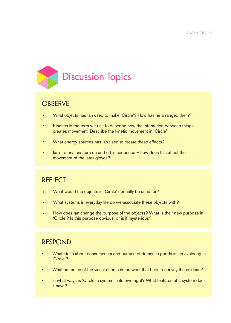# Discussion Topics

# **OBSERVE**

- What objects has Ian used to make 'Circle'? How has he arranged them? •
- Kinetics is the term we use to describe how the interaction between things creates movement. Describe the kinetic movement in 'Circle'. •
- What energy sources has lan used to create these effects? •
- $I$ an's rotary fans turn on and off in sequence  $-$  how does this affect the movement of the latex gloves? •

# **REFLECT**

- What would the objects in 'Circle' normally be used for? •
- What systems in everyday life do we associate these objects with? •
- How does Ian change the purpose of the objects? What is their new purpose in 'Circle'? Is this purpose obvious, or is it mysterious? •

### RESPOND

- What ideas about consumerism and our use of domestic goods is Ian exploring in 'Circle'? •
- What are some of the visual effects in the work that help to convey these ideas? •
- In what ways is 'Circle' a system in its own right? What features of a system does it have? •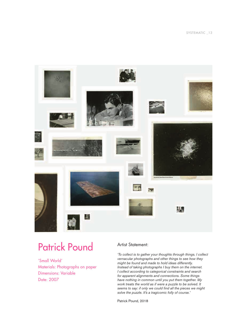SYSTEMATIC \_13



# Patrick Pound

'Small World' Materials: Photographs on paper Dimensions: Variable Date: 2007

#### Artist Statement:

*'To collect is to gather your thoughts through things. I collect vernacular photographs and other things to see how they might be found and made to hold ideas differently. Instead of taking photographs I buy them on the internet. I collect according to categorical constraints and search for apparent alignments and connections. Some things have nothing in common until you put them together. My work treats the world as if were a puzzle to be solved. It seems to say: if only we could find all the pieces we might solve the puzzle. It's a tragicomic folly of course.'*

Patrick Pound, 2018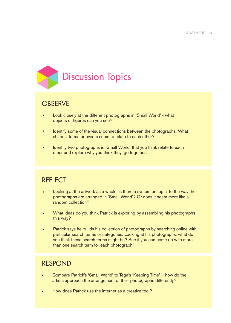

## **OBSERVE**

- Look closely at the different photographs in 'Small World' what objects or figures can you see? •
- Identify some of the visual connections between the photographs. What shapes, forms or events seem to relate to each other? •
- Identify two photographs in 'Small World' that you think relate to each other and explore why you think they 'go together'. •

# **REFLECT**

- Looking at the artwork as a whole, is there a system or 'logic' to the way the photographs are arranged in 'Small World'? Or does it seem more like a random collection? •
- What ideas do you think Patrick is exploring by assembling his photographs this way? •
- Patrick says he builds his collection of photographs by searching online with particular search terms or categories. Looking at his photographs, what do you think these search terms might be? See if you can come up with more than one search term for each photograph! •

# RESPOND

- Compare Patrick's 'Small World' to Tega's 'Keeping Time' how do the artists approach the arrangement of their photographs differently? •
- How does Patrick use the internet as a creative tool? •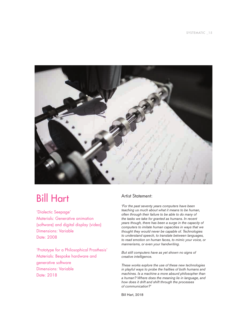

# Bill Hart

'Dialectic Seepage' Materials: Generative animation (software) and digital display (video) Dimensions: Variable Date: 2008

'Prototype for a Philosophical Prosthesis' Materials: Bespoke hardware and generative software Dimensions: Variable Date: 2018

#### Artist Statement:

*'For the past seventy years computers have been teaching us much about what it means to be human, often through their failure to be able to do many of the tasks we take for granted as humans. In recent years though, there has been a surge in the capacity of computers to imitate human capacities in ways that we thought they would never be capable of. Technologies to understand speech, to translate between languages, to read emotion on human faces, to mimic your voice, or mannerisms, or even your handwriting.*

*But still computers have as yet shown no signs of creative intelligence.*

*These works explore the use of these new technologies in playful ways to probe the frailties of both humans and machines. Is a machine a more absurd philosopher than a human? Where does the meaning lie in language, and how does it drift and shift through the processes of communication?'* 

Bill Hart, 2018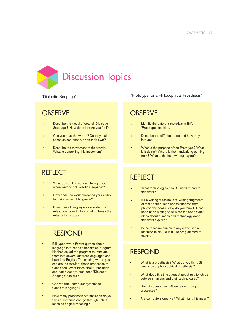# Discussion Topics

## **OBSERVE**

- Describe the visual effects of 'Dialectic Seepage'? How does it make you feel? •
- Can you read the words? Do they make sense as sentences, or on their own? •
- Describe the movement of the words. What is controlling this movement? •

#### 'Dialectic Seepage' 'Prototype for a Philosophical Prosthesis'

# **OBSERVE**

- Identify the different materials in Bill's 'Prototype' machine. •
- Describe the different parts and how they interact. •
- What is the purpose of the Prototype? What is it doing? Where is the handwriting coming from? What is the handwriting saying? •

### **REFLECT**

- What do you find yourself trying to do when watching 'Dialectic Seepage'? •
- How does the work challenge your ability to make sense of language? •
- If we think of language as a system with rules, how does Bill's animation break the rules of language? •

# RESPOND

- Bill typed two different quotes about language into Yahoo's translation program. He then asked the program to translate them into several different languages and back into English. The shifting words you see are the result of these processes of translation. What ideas about translation and computer systems does 'Dialectic Seepage' explore? •
- Can we trust computer systems to translate language? •
- How many processes of translation do you think a sentence can go through until it loses its original meaning? •

## **REFLECT**

- What technologies has Bill used to create this work? •
- Bill's writing machine is re-writing fragments of text about human consciousness from philosophy books. Why do you think Bill has used hand writing to re-write the text? What ideas about humans and technology does this work explore? •
- Is the machine human in any way? Can a machine think? Or is it just programmed to 'think'?

# RESPOND

•

•

- What is a prosthesis? What do you think Bill means by a 'philosophical prosthesis'? •
- What does this title suggest about relationships between humans and their technologies? •
- How do computers influence our thought processes? •
	- Are computers creative? What might this mean?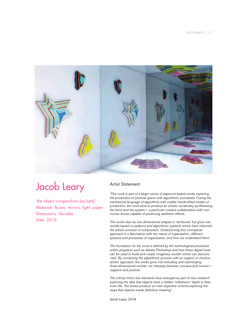

# Jacob Leary

'the object compendium (as/sets)' Materials: Boxes, mirrors, light, paper Dimensions: Variable Date: 2018

#### Artist Statement:

*'This work is part of a larger series of papercut-based works exploring the production of pictorial space with algorithmic processes. Fusing the mechanical language of algorithms with subtler handcrafted modes of production, the work aims to produce an artistic vocabulary synthesising the hand and the system— a particular creative collaboration with nonhuman forces capable of producing aesthetic effects.* 

*The works start as two dimensional shapes or 'territories' but grow into worlds based on patterns and algorithmic systems which have informed the artistic process of composition. Underpinning this conceptual approach is a fascination with the nature of organization, different systems and processes of organization, and how we understand them.* 

*The foundation for the work is defined by the technological processes within programs such as Adobe Photoshop and how these digital tools can be used to build and create 'imaginary worlds' which can become 'real'. By combining the algorithmic process with an organic or intuitive artistic approach, the works grow into extruding and submerging three-dimensional worlds—an interplay between concave and convex negative and positive.* 

*The infinity mirror box elements have emerged as part of new research exploring the idea that objects have a hidden 'withdrawn' depth to their inner life. The boxes produce an inter-objective schema exploring the ways that objects evade definitive meaning'.*

Jacob Leary, 2018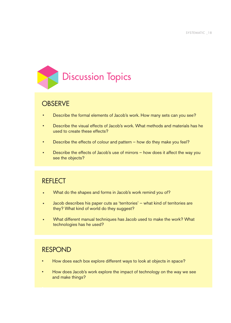# Discussion Topics

## **OBSERVE**

- Describe the formal elements of Jacob's work. How many sets can you see? •
- Describe the visual effects of Jacob's work. What methods and materials has he used to create these effects? •
- Describe the effects of colour and pattern how do they make you feel? •
- Describe the effects of Jacob's use of mirrors how does it affect the way you see the objects? •

# **REFLECT**

- What do the shapes and forms in Jacob's work remind you of? •
- Jacob describes his paper cuts as 'territories' what kind of territories are they? What kind of world do they suggest? •
- What different manual techniques has Jacob used to make the work? What technologies has he used? •

# RESPOND

- How does each box explore different ways to look at objects in space? •
- How does Jacob's work explore the impact of technology on the way we see and make things? •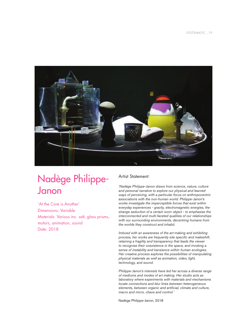

# Nadège Philippe-Janon

'At the Core is Another' Dimensions: Variable Materials: Various inc. salt, glass prisms, motors, animation, sound Date: 2018

#### Artist Statement:

*'Nadège Philippe-Janon draws from science, nature, culture and personal narrative to explore our physical and learned ways of perceiving, with a particular focus on anthropocentric associations with the non-human world. Philippe-Janon's works investigate the imperceptible forces that exist within everyday experiences - gravity, electromagnetic energies, the strange seduction of a certain worn object - to emphasise the interconnected and multi-faceted qualities of our relationships with our surrounding environments, decentring humans from the worlds they construct and inhabit.* 

*Imbued with an awareness of the art-making and exhibiting process, her works are frequently site specific and makeshift, retaining a fragility and transparency that leads the viewer to recognise their coexistence in the space, and invoking a sense of instability and transience within human ecologies. Her creative process explores the possibilities of manipulating physical materials as well as animation, video, light, technology, and sound.* 

*Philippe-Janon's interests have led her across a diverse range of mediums and modes of art making. Her studio acts as laboratory where experiments with materials and mechanisms locate connections and blur lines between heterogeneous elements, between organic and artificial, climate and culture, macro and micro, chaos and control.'* 

Nadège Philippe-Janon, 2018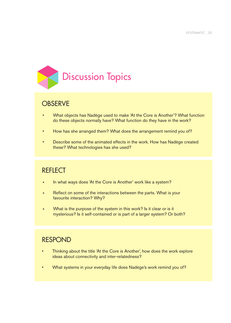

### **OBSERVE**

- What objects has Nadège used to make 'At the Core is Another'? What function do these objects normally have? What function do they have in the work? •
- How has she arranged them? What does the arrangement remind you of? •
- Describe some of the animated effects in the work. How has Nadège created these? What technologies has she used? •

# **REFLECT**

- In what ways does 'At the Core is Another' work like a system? •
- Reflect on some of the interactions between the parts. What is your favourite interaction? Why? •
- What is the purpose of the system in this work? Is it clear or is it mysterious? Is it self-contained or is part of a larger system? Or both? •

### RESPOND

- Thinking about the title 'At the Core is Another', how does the work explore ideas about connectivity and inter-relatedness? •
- What systems in your everyday life does Nadège's work remind you of? •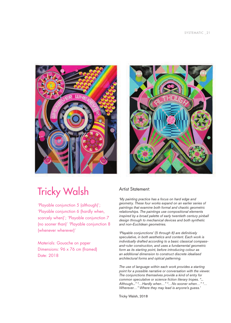



# Tricky Walsh

'Playable conjunction 5 (although)'; 'Playable conjunction 6 (hardly when, scarcely when)'; 'Playable conjunction 7 (no sooner than)' 'Playable conjunction 8 (whenever wherever)'

Materials: Gouache on paper Dimensions: 96 x 76 cm (framed) Date: 2018

#### Artist Statement:

*'My painting practice has a focus on hard edge and geometry. These four works expand on an earlier series of paintings that examine both formal and chaotic geometric relationships. The paintings use compositional elements inspired by a broad palette of early twentieth century pinball design through to mechanical devices and both synthetic and non-Euclidean geometries.*

*'Playable conjunctions' (5 through 8) are definitively speculative, in both aesthetics and content. Each work is individually drafted according to a basic classical compassand-ruler construction, and uses a fundamental geometric form as its starting point, before introducing colour as an additional dimension to construct discrete idealised architectural forms and optical patterning.* 

*The use of language within each work provides a starting point for a possible narrative or conversation with the viewer. The conjunctions themselves provide a kind of entry for common speculative or science fiction literary tropes. "... Although..." "…Hardly when…" "…No sooner when…" "… Wherever…" Where they may lead is anyone's guess.'*

Tricky Walsh, 2018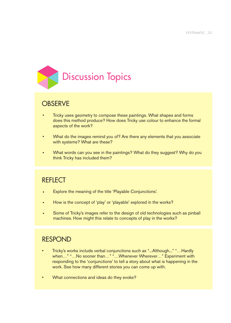

## **OBSERVE**

- Tricky uses geometry to compose these paintings. What shapes and forms does this method produce? How does Tricky use colour to enhance the formal aspects of the work? •
- What do the images remind you of? Are there any elements that you associate with systems? What are these? •
- What words can you see in the paintings? What do they suggest? Why do you think Tricky has included them? •

# **REFLECT**

- Explore the meaning of the title 'Playable Conjunctions'. •
- How is the concept of 'play' or 'playable' explored in the works? •
- Some of Tricky's images refer to the design of old technologies such as pinball machines. How might this relate to concepts of play in the works? •

### RESPOND

- Tricky's works include verbal conjunctions such as "...Although..." "…Hardly when…" "…No sooner than…" "…Whenever Wherever…" Experiment with responding to the 'conjunctions' to tell a story about what is happening in the work. See how many different stories you can come up with. •
- What connections and ideas do they evoke? •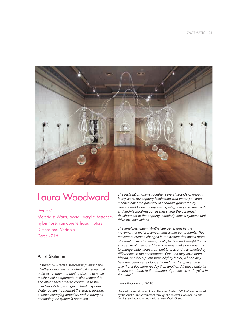

# Laura Woodward

'Writhe'

Materials: Water, acetal, acrylic, fasteners, nylon hose, santoprene hose, motors Dimensions: Variable Date: 2015

#### Artist Statement:

*'Inspired by Ararat's surrounding landscape, 'Writhe' comprises nine identical mechanical units (each then comprising dozens of small mechanical components) which respond to and affect each other to contribute to the installation's larger ongoing kinetic system. Water pulses throughout the space, flowing, at times changing direction, and in doing so continuing the system's operation.* 

*The installation draws together several strands of enquiry in my work: my ongoing fascination with water-powered mechanisms; the potential of shadows generated by viewers and kinetic components; integrating site-specificity and architectural-responsiveness; and the continual development of the ongoing, circularly-causal systems that drive my installations.* 

*The timelines within 'Writhe' are generated by the movement of water between and within components. This movement creates changes in the system that speak more of a relationship between gravity, friction and weight than to any sense of measured time. The time it takes for one unit to change state varies from unit to unit, and it is affected by differences in the components. One unit may have more friction; another's pump turns slightly faster; a hose may be a few centimetres longer; a unit may hang in such a way that it tips more readily than another. All these material factors contribute to the duration of processes and cycles in the work.'*

#### Laura Woodward, 2018

Created by invitation for Ararat Regional Gallery, 'Writhe' was assisted by the Australian Government through the Australia Council, its arts funding and advisory body, with a New Work Grant.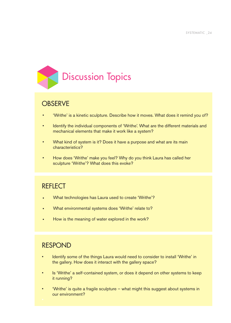# Discussion Topics

### **OBSERVE**

- 'Writhe' is a kinetic sculpture. Describe how it moves. What does it remind you of? •
- Identify the individual components of 'Writhe'. What are the different materials and mechanical elements that make it work like a system? •
- What kind of system is it? Does it have a purpose and what are its main characteristics? •
- How does 'Writhe' make you feel? Why do you think Laura has called her sculpture 'Writhe'? What does this evoke? •

# **REFLECT**

- What technologies has Laura used to create 'Writhe'? •
- What environmental systems does 'Writhe' relate to? •
- How is the meaning of water explored in the work? •

# RESPOND

- Identify some of the things Laura would need to consider to install 'Writhe' in the gallery. How does it interact with the gallery space? •
- Is 'Writhe' a self-contained system, or does it depend on other systems to keep it running? •
- 'Writhe' is quite a fragile sculpture what might this suggest about systems in our environment? •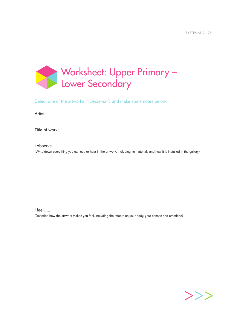

Select one of the artworks in *Systematic* and make some notes below.

Artist:

Title of work:

I observe….

(Write down everything you can see or hear in the artwork, including its materials and how it is installed in the gallery)

I feel…..

(Describe how the artwork makes you feel, including the effects on your body, your senses and emotions)

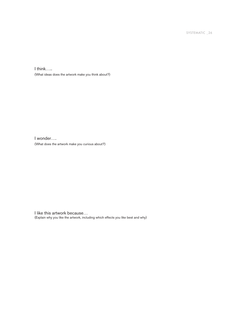SYSTEMATIC \_26

I think….. (What ideas does the artwork make you think about?)

I wonder…. (What does the artwork make you curious about?)

I like this artwork because… (Explain why you like the artwork, including which effects you like best and why)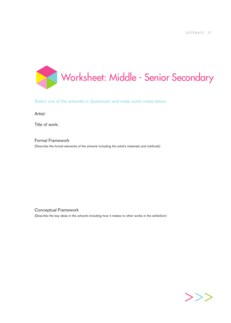

Select one of the artworks in *Systematic* and make some notes below.

#### Artist:

Title of work:

Formal Framework (Describe the formal elements of the artwork including the artist's materials and methods)

Conceptual Framework (Describe the key ideas in the artwork including how it relates to other works in the exhibition)

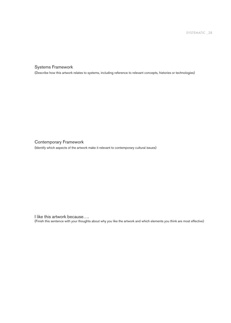#### Systems Framework

(Describe how this artwork relates to systems, including reference to relevant concepts, histories or technologies)

Contemporary Framework

(Identify which aspects of the artwork make it relevant to contemporary cultural issues)

I like this artwork because….

(Finish this sentence with your thoughts about why you like the artwork and which elements you think are most effective)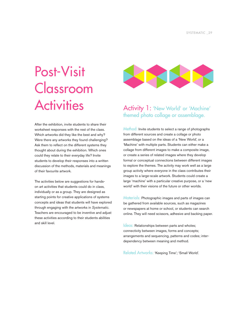# Post-Visit Classroom **Activities**

After the exhibition, invite students to share their worksheet responses with the rest of the class. Which artworks did they like the best and why? Were there any artworks they found challenging? Ask them to reflect on the different systems they thought about during the exhibition. Which ones could they relate to their everyday life? Invite students to develop their responses into a written discussion of the methods, materials and meanings of their favourite artwork.

The activities below are suggestions for handson art activities that students could do in class, individually or as a group. They are designed as starting points for creative applications of systems concepts and ideas that students will have explored through engaging with the artworks in *Systematic.* Teachers are encouraged to be inventive and adjust these activities according to their students abilities and skill level.



### Activity 1: 'New World' or 'Machine' themed photo collage or assemblage.

Method: Invite students to select a range of photographs from different sources and create a collage or photo assemblage based on the ideas of a 'New World', or a 'Machine' with multiple parts. Students can either make a collage from different images to make a composite image, or create a series of related images where they develop formal or conceptual connections between different images to explore the themes. The activity may work well as a large group activity where everyone in the class contributes their images to a large-scale artwork. Students could create a large 'machine' with a particular creative purpose, or a 'new world' with their visions of the future or other worlds.

Materials: Photographic images and parts of images can be gathered from available sources, such as magazines or newspapers at home or school, or students can search online. They will need scissors, adhesive and backing paper.

Ideas: Relationships between parts and wholes; connectivity between images, forms and concepts; arrangements and sequencing, patterns and codes; interdependency between meaning and method.

Related Artworks: 'Keeping Time'; 'Small World'.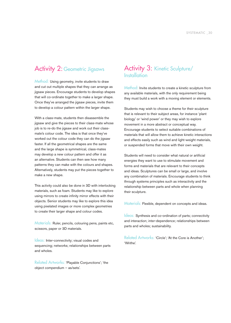# Activity 2: Geometric Jigsaws

Method: Using geometry, invite students to draw and cut out multiple shapes that they can arrange as jigsaw pieces. Encourage students to develop shapes that will co-ordinate together to make a larger shape. Once they've arranged the jigsaw pieces, invite them to develop a colour pattern within the larger shape.

With a class-mate, students then disassemble the jigsaw and give the pieces to their class-mate whose job is to re-do the jigsaw and work out their classmate's colour code. The idea is that once they've worked out the colour code they can do the jigsaw faster. If all the geometrical shapes are the same and the large shape is symmetrical, class-mates may develop a new colour pattern and offer it as an alternative. Students can then see how many patterns they can make with the colours and shapes. Alternatively, students may put the pieces together to make a new shape.

This activity could also be done in 3D with interlocking materials, such as foam. Students may like to explore using mirrors to create infinity mirror effects with their objects. Senior students may like to explore this idea using pixelated images or more complex geometries to create their larger shape and colour codes.

Materials: Ruler, pencils, colouring pens, paints etc, scissors, paper or 3D materials.

Ideas: Inter-connectivity; visual codes and sequencing; networks; relationships between parts and wholes.

Related Artworks: 'Playable Conjunctions'; 'the object compendium – as/sets'.

### Activity 3: Kinetic Sculpture/ Installation

Method: Invite students to create a kinetic sculpture from any available materials, with the only requirement being they must build a work with a moving element or elements.

Students may wish to choose a theme for their sculpture that is relevant to their subject areas, for instance 'plant biology' or 'wind power' or they may wish to explore movement in a more abstract or conceptual way. Encourage students to select suitable combinations of materials that will allow them to achieve kinetic interactions and effects easily such as wind and light-weight materials, or suspended forms that move with their own weight.

Students will need to consider what natural or artificial energies they want to use to stimulate movement and forms and materials that are relevant to their concepts and ideas. Sculptures can be small or large, and involve any combination of materials. Encourage students to think through systems principles such as interactivity and the relationship between parts and whole when planning their sculpture.

Materials: Flexible, dependent on concepts and ideas.

Ideas: Synthesis and co-ordination of parts; connectivity and interaction; inter-dependence; relationships between parts and wholes; sustainability.

Related Artworks: 'Circle'; 'At the Core is Another'; 'Writhe'.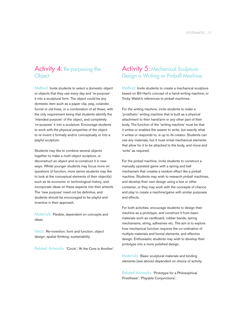### Activity 4: Re-purposing the **Object**

Method: Invite students to select a domestic object or objects that they use every day and 're-purpose' it into a sculptural form. The object could be any domestic item such as a paper clip, peg, colander, funnel or old hose, or a combination of all these, with the only requirement being that students identify the 'intended purpose' of the object, and completely 're-purpose' it into a sculpture. Encourage students to work with the physical properties of the object to re-invent it formally and/or conceptually or into a playful sculpture.

Students may like to combine several objects together to make a multi-object sculpture, or deconstruct an object and re-construct it in new ways. Whilst younger students may focus more on questions of function, more senior students may like to look at the conceptual elements of their object(s) such as its economic or technological history, and incorporate ideas on these aspects into their artwork. The 'new purpose' need not be definitive, and students should be encouraged to be playful and inventive in their approach.

Materials: Flexible, dependent on concepts and ideas.

Ideas: Re-invention; form and function; object design; spatial thinking; sustainability.

Related Artworks: 'Circle'; 'At the Core is Another'.

### Activity 5: Mechanical Sculpture: Design a Writing or Pinball Machine

Method: Invite students to create a mechanical sculpture based on Bill Hart's concept of a hand-writing machine, or Tricky Walsh's references to pinball machines.

For the writing machine, invite students to make a 'prosthetic' writing machine that is built as a physical attachment to their hand/arm or any other part of their body. The function of the 'writing machine' must be that it writes or enables the wearer to write, but exactly what it writes or responds to, is up to its creator. Students can use any materials, but it must entail mechanical elements that allow for it to be attached to the body, and move and 'write' as required.

For the pinball machine, invite students to construct a manually operated game with a spring and ball mechanism that creates a random effect like a pinball machine. Students may wish to research pinball machines, and develop their own design using a box or other container, or they may work with the concepts of chance and play to create a machine/game with similar purposes and effects.

For both activities, encourage students to design their machine as a prototype, and construct it from basic materials such as cardboard, rubber bands, spring mechanisms, string, adhesives etc. The aim is to explore how mechanical function requires the co-ordination of multiple materials and formal elements, and effective design. Enthusiastic students may wish to develop their prototype into a more polished design.

Materials: Basic sculptural materials and binding elements (see above) dependent on choice of activity.

Related Artworks: 'Prototype for a Philosophical Prosthesis'; 'Playable Conjunctions'.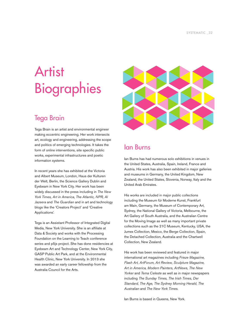# Artist **Biographies**

# Tega Brain

Tega Brain is an artist and environmental engineer making eccentric engineering. Her work intersects art, ecology and engineering, addressing the scope and politics of emerging technologies. It takes the form of online interventions, site specific public works, experimental infrastructures and poetic information systems.

In recent years she has exhibited at the Victoria and Albert Museum, London, Haus der Kulturen der Welt, Berlin, the Science Gallery Dublin and Eyebeam in New York City. Her work has been widely discussed in the press including in *The New York Times, Art in America, The Atlantic, NPR, Al Jazeera* and *The Guardian* and in art and technology blogs like the 'Creators Project' and 'Creative Applications'.

Tega is an Assistant Professor of Integrated Digital Media, New York University. She is an affiliate at Data & Society and works with the Processing Foundation on the Learning to Teach conference series and p5js project. She has done residencies at Eyebeam Art and Technology Center, New York City, GASP Public Art Park, and at the Environmental Health Clinic, New York University. In 2013 she was awarded an early career fellowship from the Australia Council for the Arts.



# Ian Burns

Ian Burns has had numerous solo exhibitions in venues in the United States, Australia, Spain, Ireland, France and Austria. His work has also been exhibited in major galleries and museums in Germany, the United Kingdom, New Zealand, the United States, Slovenia, Norway, Italy and the United Arab Emirates.

His works are included in major public collections including the Museum für Moderne Kunst, Frankfurt am Main, Germany, the Museum of Contemporary Art, Sydney, the National Gallery of Victoria, Melbourne, the Art Gallery of South Australia, and the Australian Centre for the Moving Image as well as many important private collections such as the 21C Museum, Kentucky, USA, the Jumex Collection, Mexico, the Berge Collection, Spain, the Detached Collection, Australia and the Chartwell Collection, New Zealand.

His work has been reviewed and featured in major international art magazines including *Frieze Magazine, Flash Art, ArtForum, Art Review, Sculpture Magazine, Art in America, Modern Painters, ArtNews, The New Yorker* and *Tema Celeste* as well as in major newspapers including *The Sunday Times, The Irish Times, Der Standard, The Age, The Sydney Morning Herald, The Australian* and *The New York Times.* 

Ian Burns is based in Queens, New York.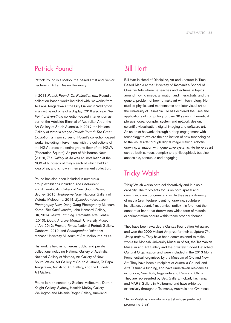# Patrick Pound

Patrick Pound is a Melbourne-based artist and Senior Lecturer in Art at Deakin University.

In 2018 *Patrick Pound: On Reflection* saw Pound's collection-based works installed with 82 works from Te Papa Tongarewa at the City Gallery in Wellington in a vast palindrome of a display. 2018 also saw *The Point of Everything* collection-based intervention as part of the Adelaide Biennial of Australian Art at the Art Gallery of South Australia. In 2017 the National Gallery of Victoria staged *Patrick Pound: The Great Exhibition*, a major survey of Pound's collection-based works, including interventions with the collections of the NGV across the entire ground floor of the NGVA (Federation Square). As part of Melbourne Now (2013), *The Gallery of Air* was an installation at the NGV of hundreds of things each of which held an idea of air, and is now in their permanent collection.

Pound has also been included in numerous group exhibitions including *The Photograph and Australia*, Art Gallery of New South Wales, Sydney, 2015; *Melbourne Now*, National Gallery of Victoria, Melbourne, 2014; *Episodes - Australian Photography Now,* Dong Gang Photography Museum, Korea; *The Small Infinite,* John Hansard Gallery, UK, 2014; *Inside Running,* Fremantle Arts Centre (2013); *Liquid Archive*, Monash University Museum of Art, 2012; *Present Tense,* National Portrait Gallery, Canberra, 2010; and *Photographer Unknown,* Monash University Museum of Art, Melbourne, 2009.

His work is held in numerous public and private collections including National Gallery of Australia, National Gallery of Victoria, Art Gallery of New South Wales, Art Gallery of South Australia, Te Papa Tongarewa, Auckland Art Gallery, and the Dunedin Art Gallery.

Pound is represented by Station, Melbourne, Darren Knight Gallery, Sydney, Hamish McKay Gallery, Wellington and Melanie Roger Gallery, Auckland.

# Bill Hart

Bill Hart is Head of Discipline, Art and Lecturer in Time Based Media at the University of Tasmania's School of Creative Arts where he teaches and lectures in topics around moving image, animation and interactivity, and the general problem of how to make art with technology. He studied physics and mathematics and later visual art at the University of Tasmania. He has explored the uses and applications of computing for over 30 years in theoretical physics, oceanography, system and network design, scientific visualisation, digital imaging and software art. As an artist he works through a deep engagement with technology to explore the application of new technologies to the visual arts through digital image making, robotic drawing, animation with generative systems. He believes art can be both serious, complex and philosophical, but also accessible, sensuous and engaging.

# Tricky Walsh

Tricky Walsh works both collaboratively and in a solo capacity. Their\* projects focus on both spatial and communication concerns and while they use a diversity of media (architecture, painting, drawing, sculpture, installation, sound, film, comics, radio) it is foremost the concept at hand that determines which form of material experimentation occurs within these broader themes.

They have been awarded a Qantas Foundation Art award and won the 2009 Hobart Art prize for their sculpture *The Wasp project.* They have been commissioned to make works for Monash University Museum of Art, the Tasmanian Museum and Art Gallery and the privately funded Detached Cultural Organisation and were included in the 2013 Mona Foma festival, organised by the Museum of Old and New Art. They have been a recipient of Australia Council and Arts Tasmania funding, and have undertaken residencies in London, New York, Jogjakarta and Paris and China. They are represented by Bett Gallery, Hobart, Tasmania, and MARS Gallery in Melbourne and have exhibited extensively throughout Tasmania, Australia and Overseas.

\*Tricky Walsh is a non-binary artist whose preferred pronoun is 'their'.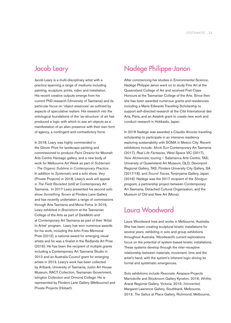# Jacob Leary

Jacob Leary is a multi-disciplinary artist with a practice spanning a range of mediums including painting, sculpture, prints, video and installation. His recent creative outputs emerge from his current PhD research (University of Tasmania) and its particular focus on 'object essences' as outlined by aspects of speculative realism. His research into the ontological foundations of the 'as-structure' of art has produced a logic with which to see art objects as a manifestation of an alien presence with their own form of agency, a contingent and contradictory force.

In 2018, Leary was highly commended in the Glover Prize for landscape painting and commissioned to produce *Paint Dreamz* for Moonah Arts Centre Haveago gallery, and a new body of work for Melbourne Art Week as part of *Subterrain - The Organic Sublime in Contemporary Practice*. In addition to *Systematic* and a solo show, *Very* (Private Projects) in 2018, Leary's work will appear in *The Field Revisited (still)* at Contemporary Art Tasmania. In 2017 Leary presented his second solo show *Something Terrain* at Flinders Lane Gallery and has recently undertaken a range of commissions through Arts Tasmania and Mona Foma. In 2016, Leary exhibited in *Brainstorm* at the Tasmanian College of the Arts as part of DarkMofo and at Contemporary Art Tasmania as part of their 'Artist to Artist' program. Leary has won numerous awards for his work, including the John Fries Memorial Prize (2012), a national award for emerging visual artists and he was a finalist in the Redlands Art Prize (2016). He has been the recipient of multiple grants including a Contemporary Art Tasmania Studio in 2012 and an Australia Council grant for emerging artists in 2013. Leary's work has been collected by Artbank, University of Tasmania, Justin Art House Museum, RACT Collection, Tasmanian Government, lslington Collection and Ormond College. He is represented by Flinders Lane Gallery (Melbourne) and Private Projects (Hobart).

# Nadège Philippe-Janon

After commencing her studies in Environmental Science, Nadège Philippe-Janon went on to study Fine Art at the Queensland College of Art and received First Class Honours at the Tasmanian College of the Arts. Since then she has been awarded numerous grants and residencies including a Marie Edwards Travelling Scholarship to support self-directed research at the Citè International des Arts, Paris, and an Asialink grant to create new work and conduct research in Hokkaido, Japan.

In 2018 Nadège was awarded a Claudio Alcorso travelling scholarship to participate in an intensive residency exploring sustainability with SOMA in Mexico City. Recent exhibitions include: *Mock Sun* Contemporary Art Tasmania (2017), *Real Life Fantasies*, West Space VIC (2017), *New Alchemists*; touring – Salamanca Arts Centre, TAS; University of Queensland Art Museum, QLD; Devonport Regional Gallery, TAS; Flinders University City Gallery, SA (2017/18), and *Sound Traces,* Tenjinyama Gallery, Japan (2016). Nadège was the 2017 recipient of the *Shotgun*  program, a partnership project between Contemporary Art Tasmania, Detached Cultural Organisation, and the Museum of Old and New Art (Mona).

# Laura Woodward

Laura Woodward lives and works in Melbourne, Australia. She has been creating sculptural kinetic installations for several years, exhibiting in solo and group exhibitions throughout Australia. Woodward's current explorations focus on the potential of system-based kinetic installations. These systems develop through the inter-receptive relationship between materials, movement, time and the artist's hand, with the system's inherent logic driving its formal and systematic emergences.

Solo exhibitions include *Resonate*, Airspace Projects Marrickville and Stockroom Gallery Kyneton, 2016; *Writhe,* Ararat Regional Gallery, Victoria, 2015; *Introverted,*  Margaret Lawrence Gallery, Southbank, Melbourne, 2013; *The Saltus* at Place Gallery, Richmond, Melbourne,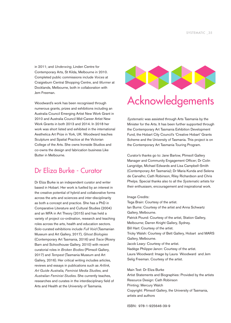in 2011; and *Underwing*, Linden Centre for Contemporary Arts, St Kilda, Melbourne in 2010. Completed public commissions include *Voices* at Craigieburn Central Shopping Centre, and *Murmer* at Docklands, Melbourne, both in collaboration with Jem Freeman.

Woodward's work has been recognised through numerous grants, prizes and exhibitions including an Australia Council Emerging Artist New Work Grant in 2010 and Australia Council Mid-Career Artist New Work Grants in both 2013 and 2014. In 2018 her work was short listed and exhibited in the international Aesthetica Art Prize in York, UK. Woodward teaches Sculpture and Spatial Practice at the Victorian College of the Arts. She owns Ironside Studios and co-owns the design and fabrication business Like Butter in Melbourne.

## Dr Eliza Burke - Curator

Dr Eliza Burke is an independent curator and writer based in Hobart. Her work is fuelled by an interest in the creative potential of hybrid and collaborative forms across the arts and sciences and inter-disciplinarity as both a concept and practice. She has a PhD in Comparative Literature and Cultural Studies (2004) and an MFA in Art Theory (2015) and has held a variety of project co-ordination, research and teaching roles across the arts, health and education sectors. Solo-curated exhibitions include *Full Void* (Tasmanian Museum and Art Gallery, 2017), *Ghost Biologies* (Contemporary Art Tasmania, 2016) and *Trace* (Rosny Barn and Schoolhouse Gallery, 2010) with recent curatorial roles in *Broken Bodies* (Plimsoll Gallery, 2017) and *Tempest* (Tasmania Museum and Art Gallery, 2016). Her critical writing includes articles, reviews and essays in publications such as *Artlink, Art Guide Australia, Feminist Media Studies*, and *Australian Feminist Studies.* She currently teaches, researches and curates in the interdisciplinary field of Arts and Health at the University of Tasmania.



*Systematic* was assisted through Arts Tasmania by the Minister for the Arts. It has been further supported through the Contemporary Art Tasmania Exhibition Development Fund, the Hobart City Council's 'Creative Hobart' Grants Scheme and the University of Tasmania. This project is on the Contemporary Art Tasmania Touring Program.

Curator's thanks go to: Jane Barlow, Plimsoll Gallery Manager and Community Engagement Officer; Dr Colin Langridge, Michael Edwards and Lisa Campbell-Smith (Contemporary Art Tasmania); Dr Maria Kunda and Selena de Carvalho; Cath Robinson, Riley Richardson and Chris Phelps. Special thanks also to all the *Systematic* artists for their enthusiasm, encouragement and inspirational work.

#### Image Credits:

Tega Brain: Courtesy of the artist. Ian Burns: Courtesy of the artist and Anna Schwartz Gallery, Melbourne. Patrick Pound: Courtesy of the artist, Station Gallery, Melbourne; Darren Knight Gallery, Sydney. Bill Hart: Courtesy of the artist. Tricky Walsh: Courtesy of Bett Gallery, Hobart and MARS Gallery, Melbourne. Jacob Leary: Courtesy of the artist. Nadège Philippe-Janon: Courtesy of the artist. Laura Woodward: Image by Laura Woodward and Jem Selig Freeman. Courtesy of the artist.

Main Text: Dr Eliza Burke Artist Statements and Biographies: Provided by the artists Resource Design: Cath Robinson Printing: Mercury Walch Copyright: Plimsoll Gallery, the University of Tasmania, artists and authors

ISBN: 978-1-925646-39-9